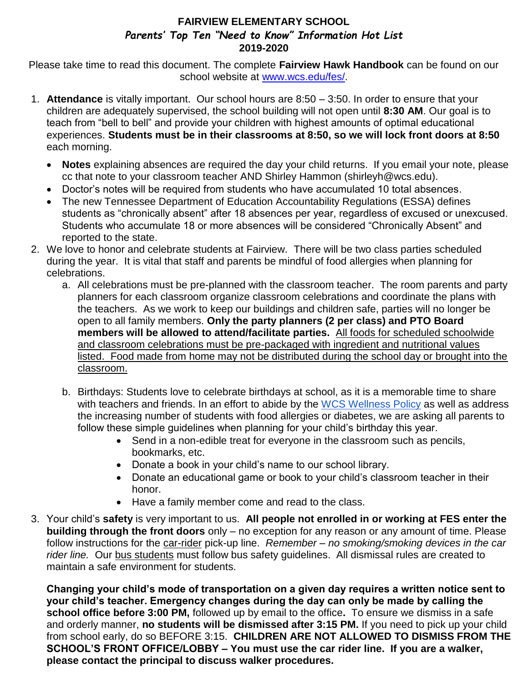## **FAIRVIEW ELEMENTARY SCHOOL** *Parents' Top Ten "Need to Know" Information Hot List* **2019-2020**

Please take time to read this document. The complete **Fairview Hawk Handbook** can be found on our school website at [www.wcs.edu/fes/.](http://www.wcs.edu/fes/)

- 1. **Attendance** is vitally important. Our school hours are 8:50 3:50. In order to ensure that your children are adequately supervised, the school building will not open until **8:30 AM**. Our goal is to teach from "bell to bell" and provide your children with highest amounts of optimal educational experiences. **Students must be in their classrooms at 8:50, so we will lock front doors at 8:50** each morning.
	- **Notes** explaining absences are required the day your child returns. If you email your note, please cc that note to your classroom teacher AND Shirley Hammon (shirleyh@wcs.edu).
	- Doctor's notes will be required from students who have accumulated 10 total absences.
	- The new Tennessee Department of Education Accountability Regulations (ESSA) defines students as "chronically absent" after 18 absences per year, regardless of excused or unexcused. Students who accumulate 18 or more absences will be considered "Chronically Absent" and reported to the state.
- 2. We love to honor and celebrate students at Fairview. There will be two class parties scheduled during the year. It is vital that staff and parents be mindful of food allergies when planning for celebrations.
	- a. All celebrations must be pre-planned with the classroom teacher. The room parents and party planners for each classroom organize classroom celebrations and coordinate the plans with the teachers. As we work to keep our buildings and children safe, parties will no longer be open to all family members. **Only the party planners (2 per class) and PTO Board members will be allowed to attend/facilitate parties.** All foods for scheduled schoolwide and classroom celebrations must be pre-packaged with ingredient and nutritional values listed. Food made from home may not be distributed during the school day or brought into the classroom.
	- b. Birthdays: Students love to celebrate birthdays at school, as it is a memorable time to share with teachers and friends. In an effort to abide by the [WCS Wellness Policy](https://www.myschoolbucks.com/ver2/login/getmain?requestAction=home) as well as address the increasing number of students with food allergies or diabetes, we are asking all parents to follow these simple guidelines when planning for your child's birthday this year.
		- Send in a non-edible treat for everyone in the classroom such as pencils, bookmarks, etc.
		- Donate a book in your child's name to our school library.
		- Donate an educational game or book to your child's classroom teacher in their honor.
		- Have a family member come and read to the class.
- 3. Your child's **safety** is very important to us. **All people not enrolled in or working at FES enter the building through the front doors** only – no exception for any reason or any amount of time. Please follow instructions for the car-rider pick-up line. *Remember – no smoking/smoking devices in the car rider line.* Our bus students must follow bus safety guidelines. All dismissal rules are created to maintain a safe environment for students.

**Changing your child's mode of transportation on a given day requires a written notice sent to your child's teacher. Emergency changes during the day can only be made by calling the school office before 3:00 PM,** followed up by email to the office**.** To ensure we dismiss in a safe and orderly manner, **no students will be dismissed after 3:15 PM.** If you need to pick up your child from school early, do so BEFORE 3:15. **CHILDREN ARE NOT ALLOWED TO DISMISS FROM THE SCHOOL'S FRONT OFFICE/LOBBY – You must use the car rider line. If you are a walker, please contact the principal to discuss walker procedures.**